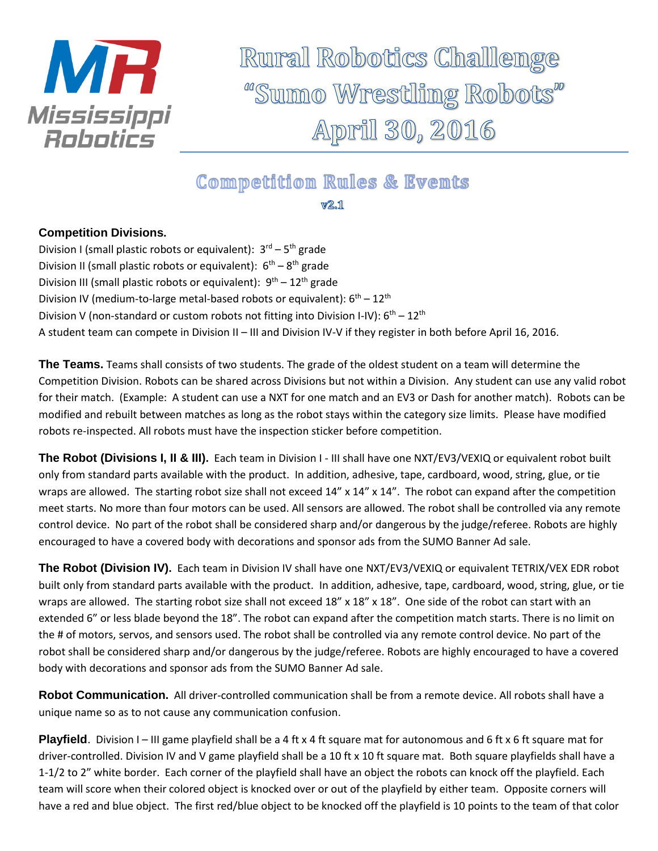

Rural Robotics Challenge "Sumo Wrestling Robots" April 30, 2016

## **Competition Rules & Events**

 $V2.1$ 

## **Competition Divisions.**

Division I (small plastic robots or equivalent): 3<sup>rd</sup> – 5<sup>th</sup> grade Division II (small plastic robots or equivalent): 6<sup>th</sup> – 8<sup>th</sup> grade Division III (small plastic robots or equivalent):  $9^{th} - 12^{th}$  grade Division IV (medium-to-large metal-based robots or equivalent):  $6<sup>th</sup> - 12<sup>th</sup>$ Division V (non-standard or custom robots not fitting into Division I-IV):  $6^{th} - 12^{th}$ A student team can compete in Division II – III and Division IV-V if they register in both before April 16, 2016.

**The Teams.** Teams shall consists of two students. The grade of the oldest student on a team will determine the Competition Division. Robots can be shared across Divisions but not within a Division. Any student can use any valid robot for their match. (Example: A student can use a NXT for one match and an EV3 or Dash for another match). Robots can be modified and rebuilt between matches as long as the robot stays within the category size limits. Please have modified robots re-inspected. All robots must have the inspection sticker before competition.

**The Robot (Divisions I, II & III).** Each team in Division I - III shall have one NXT/EV3/VEXIQ or equivalent robot built only from standard parts available with the product. In addition, adhesive, tape, cardboard, wood, string, glue, or tie wraps are allowed. The starting robot size shall not exceed 14" x 14" x 14". The robot can expand after the competition meet starts. No more than four motors can be used. All sensors are allowed. The robot shall be controlled via any remote control device. No part of the robot shall be considered sharp and/or dangerous by the judge/referee. Robots are highly encouraged to have a covered body with decorations and sponsor ads from the SUMO Banner Ad sale.

**The Robot (Division IV).** Each team in Division IV shall have one NXT/EV3/VEXIQ or equivalent TETRIX/VEX EDR robot built only from standard parts available with the product. In addition, adhesive, tape, cardboard, wood, string, glue, or tie wraps are allowed. The starting robot size shall not exceed 18" x 18" x 18". One side of the robot can start with an extended 6" or less blade beyond the 18". The robot can expand after the competition match starts. There is no limit on the # of motors, servos, and sensors used. The robot shall be controlled via any remote control device. No part of the robot shall be considered sharp and/or dangerous by the judge/referee. Robots are highly encouraged to have a covered body with decorations and sponsor ads from the SUMO Banner Ad sale.

**Robot Communication.** All driver-controlled communication shall be from a remote device. All robots shall have a unique name so as to not cause any communication confusion.

**Playfield**. Division I – III game playfield shall be a 4 ft x 4 ft square mat for autonomous and 6 ft x 6 ft square mat for driver-controlled. Division IV and V game playfield shall be a 10 ft x 10 ft square mat. Both square playfields shall have a 1-1/2 to 2" white border. Each corner of the playfield shall have an object the robots can knock off the playfield. Each team will score when their colored object is knocked over or out of the playfield by either team. Opposite corners will have a red and blue object. The first red/blue object to be knocked off the playfield is 10 points to the team of that color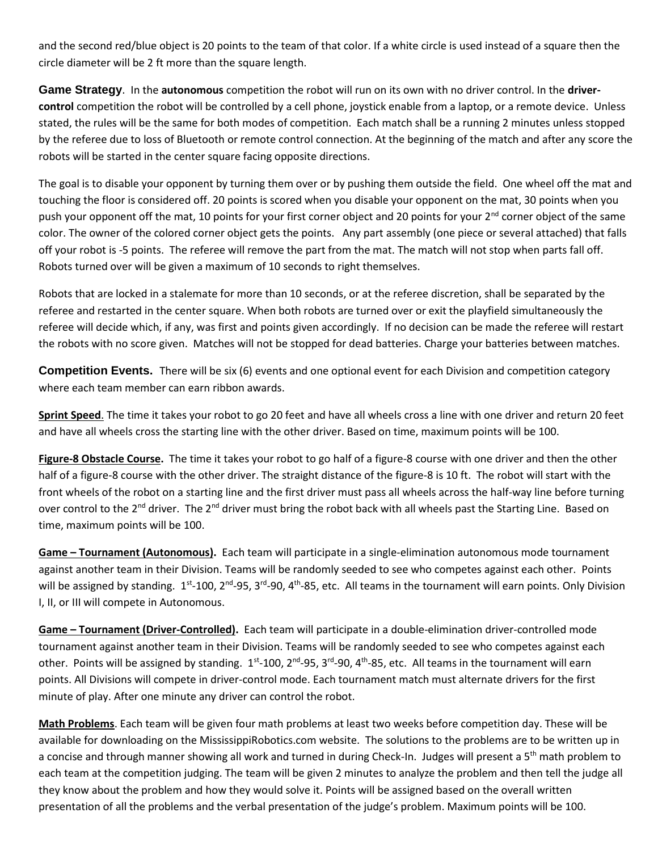and the second red/blue object is 20 points to the team of that color. If a white circle is used instead of a square then the circle diameter will be 2 ft more than the square length.

**Game Strategy**. In the **autonomous** competition the robot will run on its own with no driver control. In the **drivercontrol** competition the robot will be controlled by a cell phone, joystick enable from a laptop, or a remote device. Unless stated, the rules will be the same for both modes of competition. Each match shall be a running 2 minutes unless stopped by the referee due to loss of Bluetooth or remote control connection. At the beginning of the match and after any score the robots will be started in the center square facing opposite directions.

The goal is to disable your opponent by turning them over or by pushing them outside the field. One wheel off the mat and touching the floor is considered off. 20 points is scored when you disable your opponent on the mat, 30 points when you push your opponent off the mat, 10 points for your first corner object and 20 points for your  $2^{nd}$  corner object of the same color. The owner of the colored corner object gets the points. Any part assembly (one piece or several attached) that falls off your robot is -5 points. The referee will remove the part from the mat. The match will not stop when parts fall off. Robots turned over will be given a maximum of 10 seconds to right themselves.

Robots that are locked in a stalemate for more than 10 seconds, or at the referee discretion, shall be separated by the referee and restarted in the center square. When both robots are turned over or exit the playfield simultaneously the referee will decide which, if any, was first and points given accordingly. If no decision can be made the referee will restart the robots with no score given. Matches will not be stopped for dead batteries. Charge your batteries between matches.

**Competition Events.** There will be six (6) events and one optional event for each Division and competition category where each team member can earn ribbon awards.

**Sprint Speed**. The time it takes your robot to go 20 feet and have all wheels cross a line with one driver and return 20 feet and have all wheels cross the starting line with the other driver. Based on time, maximum points will be 100.

**Figure-8 Obstacle Course.** The time it takes your robot to go half of a figure-8 course with one driver and then the other half of a figure-8 course with the other driver. The straight distance of the figure-8 is 10 ft. The robot will start with the front wheels of the robot on a starting line and the first driver must pass all wheels across the half-way line before turning over control to the 2<sup>nd</sup> driver. The 2<sup>nd</sup> driver must bring the robot back with all wheels past the Starting Line. Based on time, maximum points will be 100.

**Game – Tournament (Autonomous).** Each team will participate in a single-elimination autonomous mode tournament against another team in their Division. Teams will be randomly seeded to see who competes against each other. Points will be assigned by standing. 1<sup>st</sup>-100, 2<sup>nd</sup>-95, 3<sup>rd</sup>-90, 4<sup>th</sup>-85, etc. All teams in the tournament will earn points. Only Division I, II, or III will compete in Autonomous.

**Game – Tournament (Driver-Controlled).** Each team will participate in a double-elimination driver-controlled mode tournament against another team in their Division. Teams will be randomly seeded to see who competes against each other. Points will be assigned by standing. 1<sup>st</sup>-100, 2<sup>nd</sup>-95, 3<sup>rd</sup>-90, 4<sup>th</sup>-85, etc. All teams in the tournament will earn points. All Divisions will compete in driver-control mode. Each tournament match must alternate drivers for the first minute of play. After one minute any driver can control the robot.

**Math Problems**. Each team will be given four math problems at least two weeks before competition day. These will be available for downloading on the MississippiRobotics.com website. The solutions to the problems are to be written up in a concise and through manner showing all work and turned in during Check-In. Judges will present a 5<sup>th</sup> math problem to each team at the competition judging. The team will be given 2 minutes to analyze the problem and then tell the judge all they know about the problem and how they would solve it. Points will be assigned based on the overall written presentation of all the problems and the verbal presentation of the judge's problem. Maximum points will be 100.